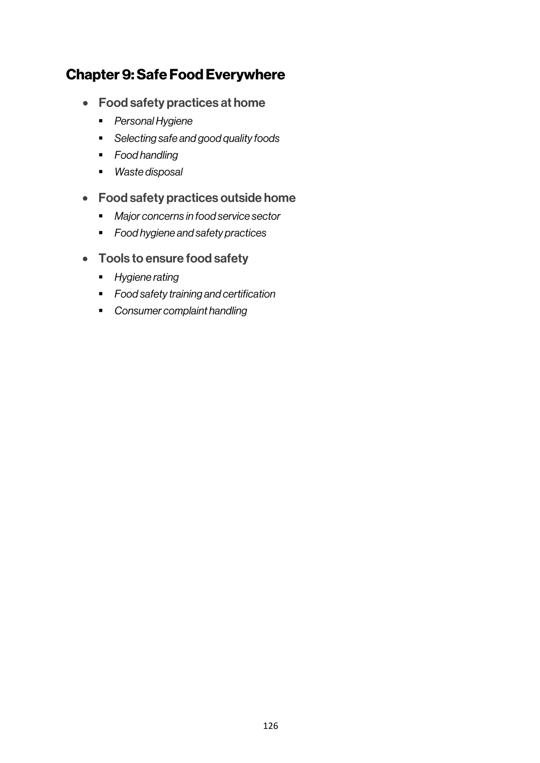# Chapter 9: Safe Food Everywhere

- Food safety practices at home
	- § *Personal Hygiene*
	- § *Selecting safe and good quality foods*
	- § *Food handling*
	- § *Waste disposal*
- Food safety practices outside home
	- § *Major concerns in food service sector*
	- § *Food hygiene and safety practices*
- Tools to ensure food safety
	- § *Hygiene rating*
	- § *Food safety training and certification*
	- § *Consumer complaint handling*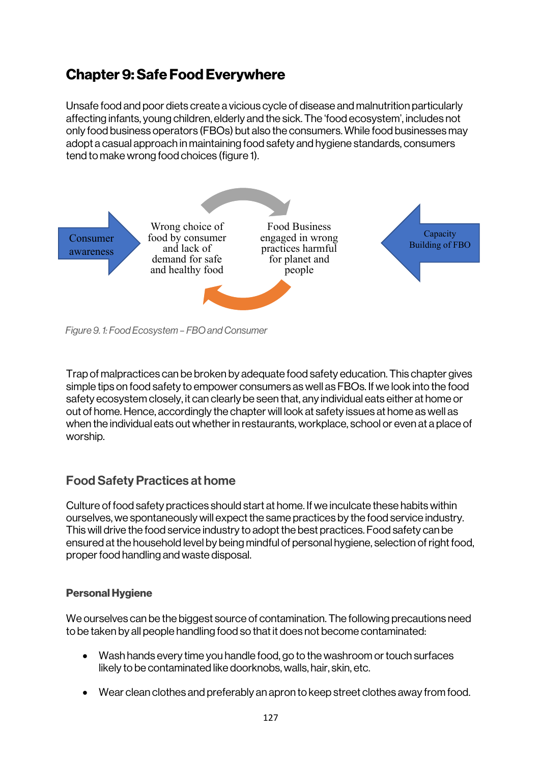# Chapter 9: Safe Food Everywhere

Unsafe food and poor diets create a vicious cycle of disease and malnutrition particularly affecting infants, young children, elderly and the sick. The 'food ecosystem', includes not only food business operators (FBOs) but also the consumers. While food businesses may adopt a casual approach in maintaining food safety and hygiene standards, consumers tend to make wrong food choices (figure 1).



*Figure 9. 1: Food Ecosystem – FBO and Consumer*

Trap of malpractices can be broken by adequate food safety education. This chapter gives simple tips on food safety to empower consumers as well as FBOs. If we look into the food safety ecosystem closely, it can clearly be seen that, any individual eats either at home or out of home. Hence, accordingly the chapter will look at safety issues at home as well as when the individual eats out whether in restaurants, workplace, school or even at a place of worship.

## Food Safety Practices at home

Culture of food safety practices should start at home. If we inculcate these habits within ourselves, we spontaneously will expect the same practices by the food service industry. This will drive the food service industry to adopt the best practices. Food safety can be ensured at the household level by being mindful of personal hygiene, selection of right food, proper food handling and waste disposal.

## Personal Hygiene

We ourselves can be the biggest source of contamination. The following precautions need to be taken by all people handling food so that it does not become contaminated:

- Wash hands every time you handle food, go to the washroom or touch surfaces likely to be contaminated like doorknobs, walls, hair, skin, etc.
- Wear clean clothes and preferably an apron to keep street clothes away from food.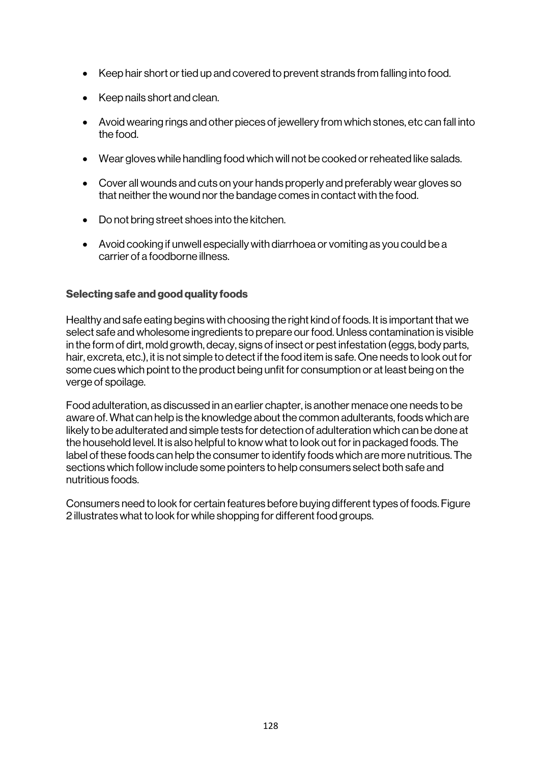- Keep hair short or tied up and covered to prevent strands from falling into food.
- Keep nails short and clean.
- Avoid wearing rings and other pieces of jewellery from which stones, etc can fall into the food.
- Wear gloves while handling food which will not be cooked or reheated like salads.
- Cover all wounds and cuts on your hands properly and preferably wear gloves so that neither the wound nor the bandage comes in contact with the food.
- Do not bring street shoes into the kitchen.
- Avoid cooking if unwell especially with diarrhoea or vomiting as you could be a carrier of a foodborne illness.

## Selecting safe and good quality foods

Healthy and safe eating begins with choosing the right kind of foods. It is important that we select safe and wholesome ingredients to prepare our food. Unless contamination is visible in the form of dirt, mold growth, decay, signs of insect or pest infestation (eggs, body parts, hair, excreta, etc.), it is not simple to detect if the food item is safe. One needs to look out for some cues which point to the product being unfit for consumption or at least being on the verge of spoilage.

Food adulteration, as discussed in an earlier chapter, is another menace one needs to be aware of. What can help is the knowledge about the common adulterants, foods which are likely to be adulterated and simple tests for detection of adulteration which can be done at the household level. It is also helpful to know what to look out for in packaged foods. The label of these foods can help the consumer to identify foods which are more nutritious. The sections which follow include some pointers to help consumers select both safe and nutritious foods.

Consumers need to look for certain features before buying different types of foods. Figure 2 illustrates what to look for while shopping for different food groups.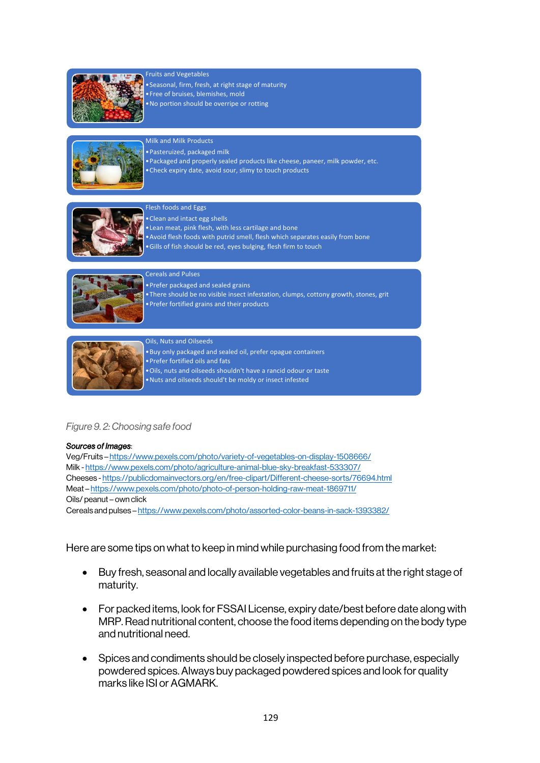

#### Fruits and Vegetables

•Seasonal, firm, fresh, at right stage of maturity

- •Free of bruises, blemishes, mold
- •No portion should be overripe or rotting



## Milk and Milk Products

- •Pasteruized, packaged milk
- •Packaged and properly sealed products like cheese, paneer, milk powder, etc.
- •Check expiry date, avoid sour, slimy to touch products



#### Flesh foods and Eggs

- •Clean and intact egg shells
- •Lean meat, pink flesh, with less cartilage and bone
- •Avoid flesh foods with putrid smell, flesh which separates easily from bone
- •Gills of fish should be red, eyes bulging, flesh firm to touch



#### Cereals and Pulses

•Prefer packaged and sealed grains

•Prefer fortified grains and their products

- •There should be no visible insect infestation, clumps, cottony growth, stones, grit
- 

#### Oils, Nuts and Oilseeds

•Buy only packaged and sealed oil, prefer opague containers •Prefer fortified oils and fats

- •Oils, nuts and oilseeds shouldn't have a rancid odour or taste •Nuts and oilseeds should't be moldy or insect infested
- *Figure 9. 2: Choosing safe food*

#### *Sources of Images*:

Veg/Fruits – https://www.pexels.com/photo/variety-of-vegetables-on-display-1508666/ Milk - https://www.pexels.com/photo/agriculture-animal-blue-sky-breakfast-533307/ Cheeses - https://publicdomainvectors.org/en/free-clipart/Different-cheese-sorts/76694.html Meat – https://www.pexels.com/photo/photo-of-person-holding-raw-meat-1869711/ Oils/ peanut – own click Cereals and pulses – https://www.pexels.com/photo/assorted-color-beans-in-sack-1393382/

Here are some tips on what to keep in mind while purchasing food from the market:

- Buy fresh, seasonal and locally available vegetables and fruits at the right stage of maturity.
- For packed items, look for FSSAI License, expiry date/best before date along with MRP. Read nutritional content, choose the food items depending on the body type and nutritional need.
- Spices and condiments should be closely inspected before purchase, especially powdered spices. Always buy packaged powdered spices and look for quality marks like ISI or AGMARK.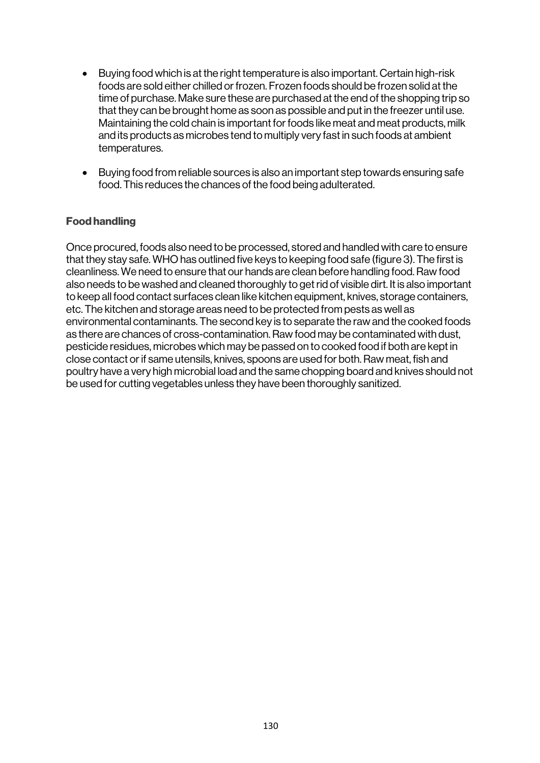- Buying food which is at the right temperature is also important. Certain high-risk foods are sold either chilled or frozen. Frozen foods should be frozen solid at the time of purchase. Make sure these are purchased at the end of the shopping trip so that they can be brought home as soon as possible and put in the freezer until use. Maintaining the cold chain is important for foods like meat and meat products, milk and its products as microbes tend to multiply very fast in such foods at ambient temperatures.
- Buying food from reliable sources is also an important step towards ensuring safe food. This reduces the chances of the food being adulterated.

## Food handling

Once procured, foods also need to be processed, stored and handled with care to ensure that they stay safe. WHO has outlined five keys to keeping food safe (figure 3). The first is cleanliness. We need to ensure that our hands are clean before handling food. Raw food also needs to be washed and cleaned thoroughly to get rid of visible dirt. It is also important to keep all food contact surfaces clean like kitchen equipment, knives, storage containers, etc. The kitchen and storage areas need to be protected from pests as well as environmental contaminants. The second key is to separate the raw and the cooked foods as there are chances of cross-contamination. Raw food may be contaminated with dust, pesticide residues, microbes which may be passed on to cooked food if both are kept in close contact or if same utensils, knives, spoons are used for both. Raw meat, fish and poultry have a very high microbial load and the same chopping board and knives should not be used for cutting vegetables unless they have been thoroughly sanitized.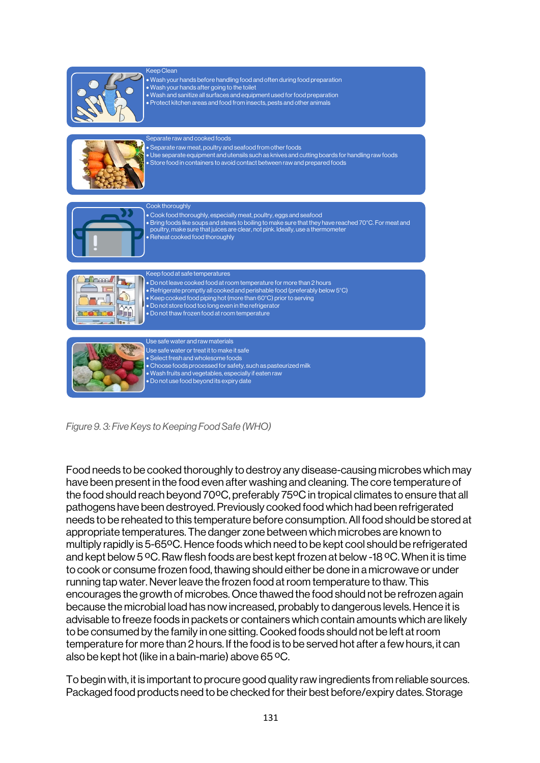

Keep Clean • Wash your hands before handling food and often during food preparation • Wash your hands after going to the toilet • Wash and sanitize all surfaces and equipment used for food preparation • Protect kitchen areas and food from insects, pests and other animals Separate raw and cooked foods



• Separate raw meat, poultry and seafood from other foods • Use separate equipment and utensils such as knives and cutting boards for handling raw foods • Store food in containers to avoid contact between raw and prepared foods Cook thoroughly



- Cook food thoroughly, especially meat, poultry, eggs and seafood
- Bring foods like soups and stews to boiling to make sure that they have reached 70°C. For meat and poultry, make sure that juices are clear, not pink. Ideally, use a thermometer
- Reheat cooked food thoroughly



Keep food at safe temperatures

- Do not leave cooked food at room temperature for more than 2 hours
- Refrigerate promptly all cooked and perishable food (preferably below 5°C)
- Keep cooked food piping hot (more than 60°C) prior to serving
- Do not store food too long even in the refrigerator • Do not thaw frozen food at room temperature



Use safe water or treat it to make it safe • Select fresh and wholesome foods • Choose foods processed for safety, such as pasteurized milk • Wash fruits and vegetables, especially if eaten raw • Do not use food beyond its expiry date

*Figure 9. 3: Five Keys to Keeping Food Safe (WHO)*

Food needs to be cooked thoroughly to destroy any disease-causing microbes which may have been present in the food even after washing and cleaning. The core temperature of the food should reach beyond 70ºC, preferably 75ºC in tropical climates to ensure that all pathogens have been destroyed. Previously cooked food which had been refrigerated needs to be reheated to this temperature before consumption. All food should be stored at appropriate temperatures. The danger zone between which microbes are known to multiply rapidly is 5-65ºC. Hence foods which need to be kept cool should be refrigerated and kept below 5 ºC. Raw flesh foods are best kept frozen at below -18 ºC. When it is time to cook or consume frozen food, thawing should either be done in a microwave or under running tap water. Never leave the frozen food at room temperature to thaw. This encourages the growth of microbes. Once thawed the food should not be refrozen again because the microbial load has now increased, probably to dangerous levels. Hence it is advisable to freeze foods in packets or containers which contain amounts which are likely to be consumed by the family in one sitting. Cooked foods should not be left at room temperature for more than 2 hours. If the food is to be served hot after a few hours, it can also be kept hot (like in a bain-marie) above 65 ºC.

To begin with, it is important to procure good quality raw ingredients from reliable sources. Packaged food products need to be checked for their best before/expiry dates. Storage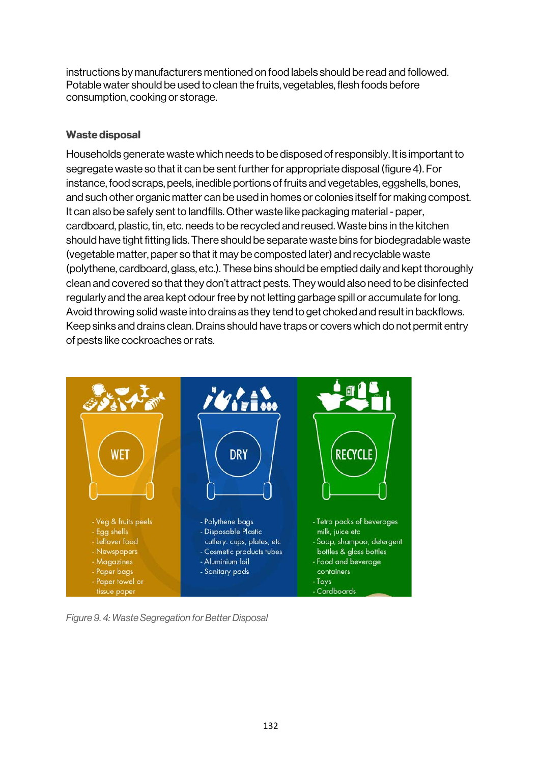instructions by manufacturers mentioned on food labels should be read and followed. Potable water should be used to clean the fruits, vegetables, flesh foods before consumption, cooking or storage.

## Waste disposal

Households generate waste which needs to be disposed of responsibly. It is important to segregate waste so that it can be sent further for appropriate disposal (figure 4). For instance, food scraps, peels, inedible portions of fruits and vegetables, eggshells, bones, and such other organic matter can be used in homes or colonies itself for making compost. It can also be safely sent to landfills. Other waste like packaging material - paper, cardboard, plastic, tin, etc. needs to be recycled and reused. Waste bins in the kitchen should have tight fitting lids. There should be separate waste bins for biodegradable waste (vegetable matter, paper so that it may be composted later) and recyclable waste (polythene, cardboard, glass, etc.). These bins should be emptied daily and kept thoroughly clean and covered so that they don't attract pests. They would also need to be disinfected regularly and the area kept odour free by not letting garbage spill or accumulate for long. Avoid throwing solid waste into drains as they tend to get choked and result in backflows. Keep sinks and drains clean. Drains should have traps or covers which do not permit entry of pests like cockroaches or rats.



*Figure 9. 4: Waste Segregation for Better Disposal*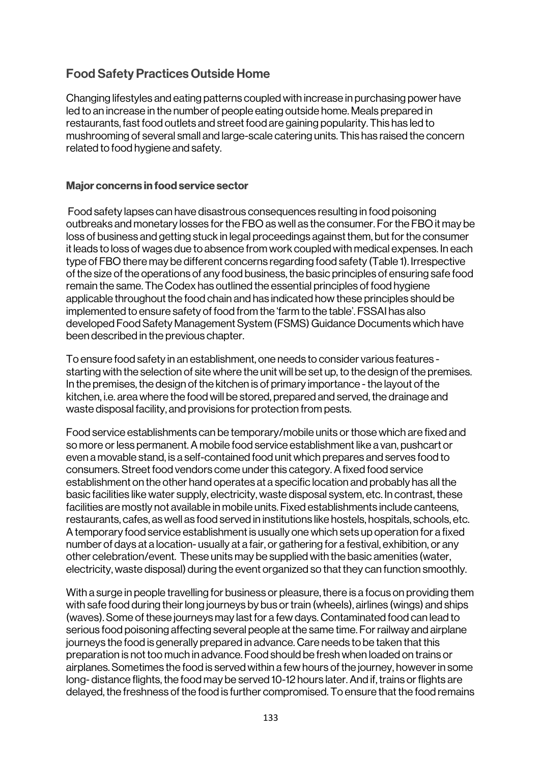## Food Safety Practices Outside Home

Changing lifestyles and eating patterns coupled with increase in purchasing power have led to an increase in the number of people eating outside home. Meals prepared in restaurants, fast food outlets and street food are gaining popularity. This has led to mushrooming of several small and large-scale catering units. This has raised the concern related to food hygiene and safety.

## Major concerns in food service sector

Food safety lapses can have disastrous consequences resulting in food poisoning outbreaks and monetary losses for the FBO as well as the consumer. For the FBO it may be loss of business and getting stuck in legal proceedings against them, but for the consumer it leads to loss of wages due to absence from work coupled with medical expenses. In each type of FBO there may be different concerns regarding food safety (Table 1). Irrespective of the size of the operations of any food business, the basic principles of ensuring safe food remain the same. The Codex has outlined the essential principles of food hygiene applicable throughout the food chain and has indicated how these principles should be implemented to ensure safety of food from the 'farm to the table'. FSSAI has also developed Food Safety Management System (FSMS) Guidance Documents which have been described in the previous chapter.

To ensure food safety in an establishment, one needs to consider various features starting with the selection of site where the unit will be set up, to the design of the premises. In the premises, the design of the kitchen is of primary importance - the layout of the kitchen, i.e. area where the food will be stored, prepared and served, the drainage and waste disposal facility, and provisions for protection from pests.

Food service establishments can be temporary/mobile units or those which are fixed and so more or less permanent. A mobile food service establishment like a van, pushcart or even a movable stand, is a self-contained food unit which prepares and serves food to consumers. Street food vendors come under this category. A fixed food service establishment on the other hand operates at a specific location and probably has all the basic facilities like water supply, electricity, waste disposal system, etc. In contrast, these facilities are mostly not available in mobile units. Fixed establishments include canteens, restaurants, cafes, as well as food served in institutions like hostels, hospitals, schools, etc. A temporary food service establishment is usually one which sets up operation for a fixed number of days at a location- usually at a fair, or gathering for a festival, exhibition, or any other celebration/event. These units may be supplied with the basic amenities (water, electricity, waste disposal) during the event organized so that they can function smoothly.

With a surge in people travelling for business or pleasure, there is a focus on providing them with safe food during their long journeys by bus or train (wheels), airlines (wings) and ships (waves). Some of these journeys may last for a few days. Contaminated food can lead to serious food poisoning affecting several people at the same time. For railway and airplane journeys the food is generally prepared in advance. Care needs to be taken that this preparation is not too much in advance. Food should be fresh when loaded on trains or airplanes. Sometimes the food is served within a few hours of the journey, however in some long- distance flights, the food may be served 10-12 hours later. And if, trains or flights are delayed, the freshness of the food is further compromised. To ensure that the food remains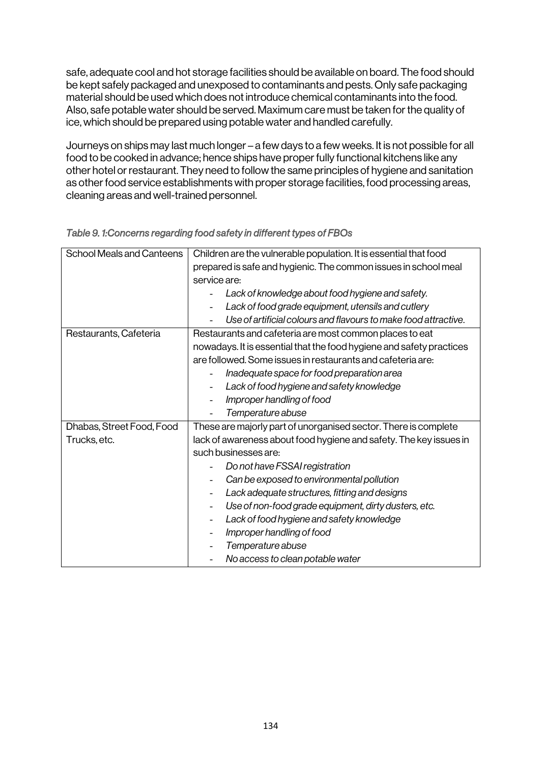safe, adequate cool and hot storage facilities should be available on board. The food should be kept safely packaged and unexposed to contaminants and pests. Only safe packaging material should be used which does not introduce chemical contaminants into the food. Also, safe potable water should be served. Maximum care must be taken for the quality of ice, which should be prepared using potable water and handled carefully.

Journeys on ships may last much longer – a few days to a few weeks. It is not possible for all food to be cooked in advance; hence ships have proper fully functional kitchens like any other hotel or restaurant. They need to follow the same principles of hygiene and sanitation as other food service establishments with proper storage facilities, food processing areas, cleaning areas and well-trained personnel.

| <b>School Meals and Canteens</b> | Children are the vulnerable population. It is essential that food    |
|----------------------------------|----------------------------------------------------------------------|
|                                  | prepared is safe and hygienic. The common issues in school meal      |
|                                  | service are:                                                         |
|                                  | Lack of knowledge about food hygiene and safety.                     |
|                                  | Lack of food grade equipment, utensils and cutlery                   |
|                                  | Use of artificial colours and flavours to make food attractive.      |
| Restaurants, Cafeteria           | Restaurants and cafeteria are most common places to eat              |
|                                  | nowadays. It is essential that the food hygiene and safety practices |
|                                  | are followed. Some issues in restaurants and cafeteria are:          |
|                                  | Inadequate space for food preparation area                           |
|                                  | Lack of food hygiene and safety knowledge                            |
|                                  | Improper handling of food                                            |
|                                  | Temperature abuse                                                    |
|                                  |                                                                      |
| Dhabas, Street Food, Food        | These are majorly part of unorganised sector. There is complete      |
| Trucks, etc.                     | lack of awareness about food hygiene and safety. The key issues in   |
|                                  | such businesses are:                                                 |
|                                  | Do not have FSSAI registration                                       |
|                                  | Can be exposed to environmental pollution                            |
|                                  | Lack adequate structures, fitting and designs                        |
|                                  | Use of non-food grade equipment, dirty dusters, etc.                 |
|                                  | Lack of food hygiene and safety knowledge                            |
|                                  | Improper handling of food                                            |
|                                  | Temperature abuse                                                    |

*Table 9. 1:Concerns regarding food safety in different types of FBOs*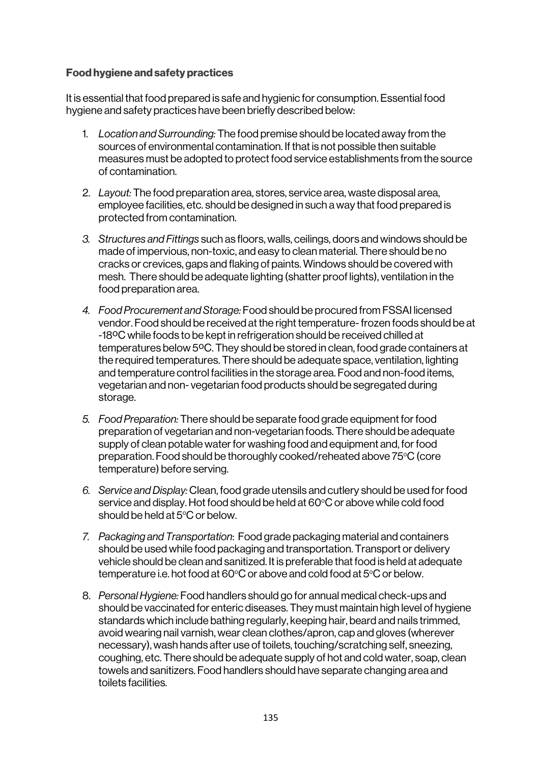## Food hygiene and safety practices

It is essential that food prepared is safe and hygienic for consumption. Essential food hygiene and safety practices have been briefly described below:

- 1. *Location and Surrounding:* The food premise should be located away from the sources of environmental contamination. If that is not possible then suitable measures must be adopted to protect food service establishments from the source of contamination.
- 2. *Layout:* The food preparation area, stores, service area, waste disposal area, employee facilities, etc. should be designed in such a way that food prepared is protected from contamination.
- *3. Structures and Fittings* such as floors, walls, ceilings, doors and windows should be made of impervious, non-toxic, and easy to clean material. There should be no cracks or crevices, gaps and flaking of paints. Windows should be covered with mesh. There should be adequate lighting (shatter proof lights), ventilation in the food preparation area.
- *4. Food Procurement and Storage:* Food should be procured from FSSAI licensed vendor. Food should be received at the right temperature-frozen foods should be at -18ºC while foods to be kept in refrigeration should be received chilled at temperatures below 5ºC. They should be stored in clean, food grade containers at the required temperatures. There should be adequate space, ventilation, lighting and temperature control facilities in the storage area. Food and non-food items, vegetarian and non- vegetarian food products should be segregated during storage.
- *5. Food Preparation:* There should be separate food grade equipment for food preparation of vegetarian and non-vegetarian foods. There should be adequate supply of clean potable water for washing food and equipment and, for food preparation. Food should be thoroughly cooked/reheated above 75°C (core temperature) before serving.
- *6. Service and Display:* Clean, food grade utensils and cutlery should be used for food service and display. Hot food should be held at 60°C or above while cold food should be held at  $5^{\circ}$ C or below.
- *7. Packaging and Transportation*: Food grade packaging material and containers should be used while food packaging and transportation. Transport or delivery vehicle should be clean and sanitized. It is preferable that food is held at adequate temperature i.e. hot food at 60°C or above and cold food at 5°C or below.
- 8. *Personal Hygiene:* Food handlers should go for annual medical check-ups and should be vaccinated for enteric diseases. They must maintain high level of hygiene standards which include bathing regularly, keeping hair, beard and nails trimmed, avoid wearing nail varnish, wear clean clothes/apron, cap and gloves (wherever necessary), wash hands after use of toilets, touching/scratching self, sneezing, coughing, etc. There should be adequate supply of hot and cold water, soap, clean towels and sanitizers. Food handlers should have separate changing area and toilets facilities.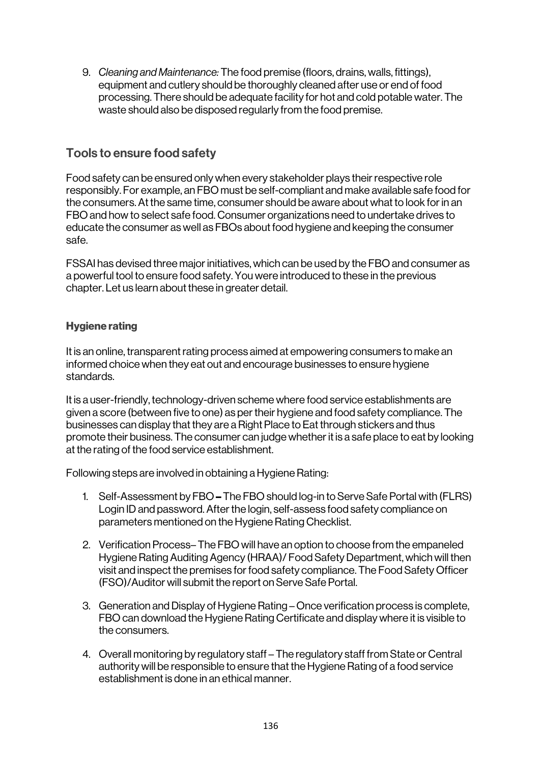9. *Cleaning and Maintenance:* The food premise (floors, drains, walls, fittings), equipment and cutlery should be thoroughly cleaned after use or end of food processing. There should be adequate facility for hot and cold potable water. The waste should also be disposed regularly from the food premise.

## Tools to ensure food safety

Food safety can be ensured only when every stakeholder plays their respective role responsibly. For example, an FBO must be self-compliant and make available safe food for the consumers. At the same time, consumer should be aware about what to look for in an FBO and how to select safe food. Consumer organizations need to undertake drives to educate the consumer as well as FBOs about food hygiene and keeping the consumer safe.

FSSAI has devised three major initiatives, which can be used by the FBO and consumer as a powerful tool to ensure food safety. You were introduced to these in the previous chapter. Let us learn about these in greater detail.

## Hygiene rating

It is an online, transparent rating process aimed at empowering consumers to make an informed choice when they eat out and encourage businesses to ensure hygiene standards.

It is a user-friendly, technology-driven scheme where food service establishments are given a score (between five to one) as per their hygiene and food safety compliance. The businesses can display that they are a Right Place to Eat through stickers and thus promote their business. The consumer can judge whether it is a safe place to eat by looking at the rating of the food service establishment.

Following steps are involved in obtaining a Hygiene Rating:

- 1. Self-Assessment by FBO– The FBO should log-in to Serve Safe Portal with (FLRS) Login ID and password. After the login, self-assess food safety compliance on parameters mentioned on the Hygiene Rating Checklist.
- 2. Verification Process– The FBO will have an option to choose from the empaneled Hygiene Rating Auditing Agency (HRAA)/ Food Safety Department, which will then visit and inspect the premises for food safety compliance. The Food Safety Officer (FSO)/Auditor will submit the report on Serve Safe Portal.
- 3. Generation and Display of Hygiene Rating Once verification process is complete, FBO can download the Hygiene Rating Certificate and display where it is visible to the consumers.
- 4. Overall monitoring by regulatory staff The regulatory staff from State or Central authority will be responsible to ensure that the Hygiene Rating of a food service establishment is done in an ethical manner.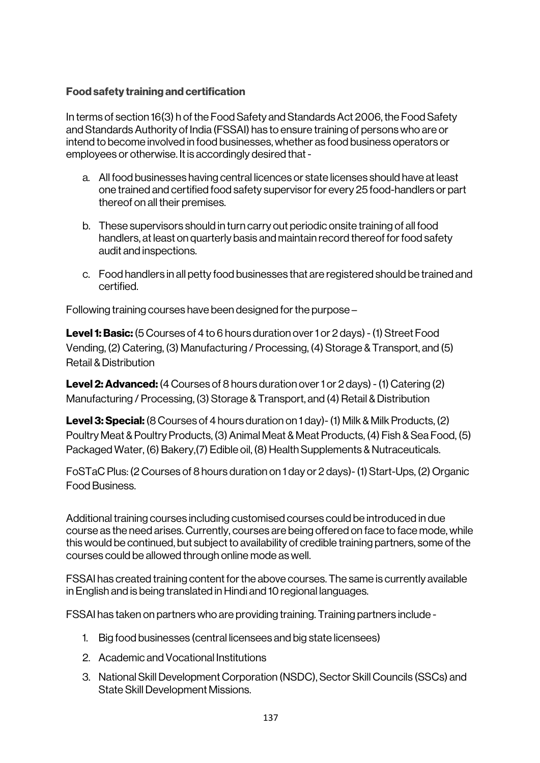## Food safety training and certification

In terms of section 16(3) h of the Food Safety and Standards Act 2006, the Food Safety and Standards Authority of India (FSSAI) has to ensure training of persons who are or intend to become involved in food businesses, whether as food business operators or employees or otherwise. It is accordingly desired that -

- a. All food businesses having central licences or state licenses should have at least one trained and certified food safety supervisor for every 25 food-handlers or part thereof on all their premises.
- b. These supervisors should in turn carry out periodic onsite training of all food handlers, at least on quarterly basis and maintain record thereof for food safety audit and inspections.
- c. Food handlers in all petty food businesses that are registered should be trained and certified.

Following training courses have been designed for the purpose –

**Level 1: Basic:** (5 Courses of 4 to 6 hours duration over 1 or 2 days) - (1) Street Food Vending, (2) Catering, (3) Manufacturing / Processing, (4) Storage & Transport, and (5) Retail & Distribution

**Level 2: Advanced:** (4 Courses of 8 hours duration over 1 or 2 days) - (1) Catering (2) Manufacturing / Processing, (3) Storage & Transport, and (4) Retail & Distribution

Level 3: Special: (8 Courses of 4 hours duration on 1 day)- (1) Milk & Milk Products, (2) Poultry Meat & Poultry Products, (3) Animal Meat & Meat Products, (4) Fish & Sea Food, (5) Packaged Water, (6) Bakery,(7) Edible oil, (8) Health Supplements & Nutraceuticals.

FoSTaC Plus: (2 Courses of 8 hours duration on 1 day or 2 days)-(1) Start-Ups, (2) Organic Food Business.

Additional training courses including customised courses could be introduced in due course as the need arises. Currently, courses are being offered on face to face mode, while this would be continued, but subject to availability of credible training partners, some of the courses could be allowed through online mode as well.

FSSAI has created training content for the above courses. The same is currently available in English and is being translated in Hindi and 10 regional languages.

FSSAI has taken on partners who are providing training. Training partners include -

- 1. Big food businesses (central licensees and big state licensees)
- 2. Academic and Vocational Institutions
- 3. National Skill Development Corporation (NSDC), Sector Skill Councils (SSCs) and State Skill Development Missions.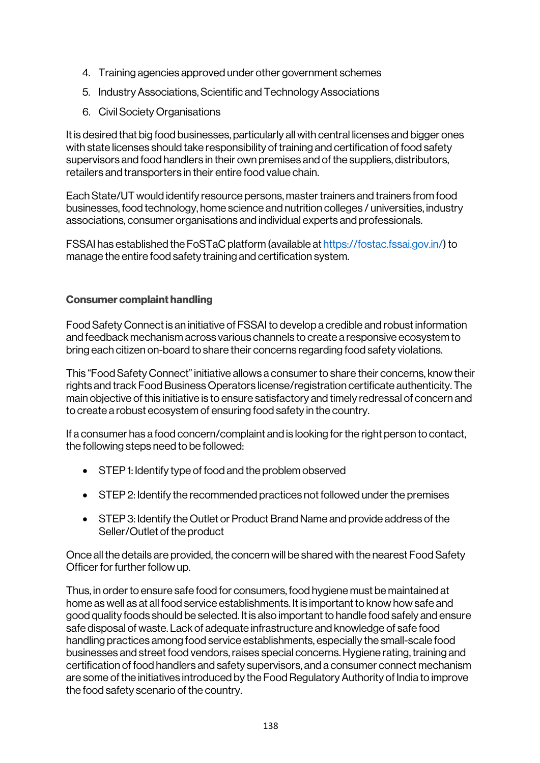- 4. Training agencies approved under other government schemes
- 5. Industry Associations, Scientific and Technology Associations
- 6. Civil Society Organisations

It is desired that big food businesses, particularly all with central licenses and bigger ones with state licenses should take responsibility of training and certification of food safety supervisors and food handlers in their own premises and of the suppliers, distributors, retailers and transporters in their entire food value chain.

Each State/UT would identify resource persons, master trainers and trainers from food businesses, food technology, home science and nutrition colleges / universities, industry associations, consumer organisations and individual experts and professionals.

FSSAI has established the FoSTaC platform (available at https://fostac.fssai.gov.in/) to manage the entire food safety training and certification system.

## Consumer complaint handling

Food Safety Connect is an initiative of FSSAI to develop a credible and robust information and feedback mechanism across various channels to create a responsive ecosystem to bring each citizen on-board to share their concerns regarding food safety violations.

This "Food Safety Connect" initiative allows a consumer to share their concerns, know their rights and track Food Business Operators license/registration certificate authenticity. The main objective of this initiative is to ensure satisfactory and timely redressal of concern and to create a robust ecosystem of ensuring food safety in the country.

If a consumer has a food concern/complaint and is looking for the right person to contact, the following steps need to be followed:

- STEP 1: Identify type of food and the problem observed
- STEP 2: Identify the recommended practices not followed under the premises
- STEP 3: Identify the Outlet or Product Brand Name and provide address of the Seller/Outlet of the product

Once all the details are provided, the concern will be shared with the nearest Food Safety Officer for further follow up.

Thus, in order to ensure safe food for consumers, food hygiene must be maintained at home as well as at all food service establishments. It is important to know how safe and good quality foods should be selected. It is also important to handle food safely and ensure safe disposal of waste. Lack of adequate infrastructure and knowledge of safe food handling practices among food service establishments, especially the small-scale food businesses and street food vendors, raises special concerns. Hygiene rating, training and certification of food handlers and safety supervisors, and a consumer connect mechanism are some of the initiatives introduced by the Food Regulatory Authority of India to improve the food safety scenario of the country.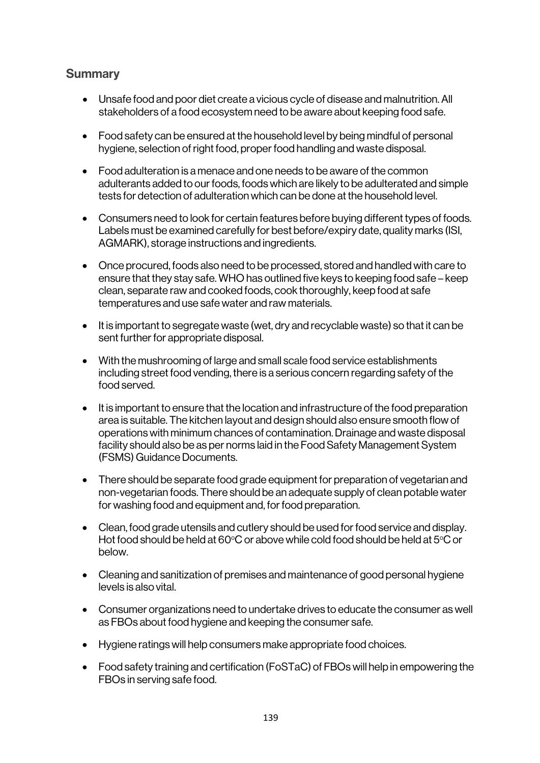## **Summary**

- Unsafe food and poor diet create a vicious cycle of disease and malnutrition. All stakeholders of a food ecosystem need to be aware about keeping food safe.
- Food safety can be ensured at the household level by being mindful of personal hygiene, selection of right food, proper food handling and waste disposal.
- Food adulteration is a menace and one needs to be aware of the common adulterants added to our foods, foods which are likely to be adulterated and simple tests for detection of adulteration which can be done at the household level.
- Consumers need to look for certain features before buying different types of foods. Labels must be examined carefully for best before/expiry date, quality marks (ISI, AGMARK), storage instructions and ingredients.
- Once procured, foods also need to be processed, stored and handled with care to ensure that they stay safe. WHO has outlined five keys to keeping food safe – keep clean, separate raw and cooked foods, cook thoroughly, keep food at safe temperatures and use safe water and raw materials.
- It is important to segregate waste (wet, dry and recyclable waste) so that it can be sent further for appropriate disposal.
- With the mushrooming of large and small scale food service establishments including street food vending, there is a serious concern regarding safety of the food served.
- It is important to ensure that the location and infrastructure of the food preparation area is suitable. The kitchen layout and design should also ensure smooth flow of operations with minimum chances of contamination. Drainage and waste disposal facility should also be as per norms laid in the Food Safety Management System (FSMS) Guidance Documents.
- There should be separate food grade equipment for preparation of vegetarian and non-vegetarian foods. There should be an adequate supply of clean potable water for washing food and equipment and, for food preparation.
- Clean, food grade utensils and cutlery should be used for food service and display. Hot food should be held at 60°C or above while cold food should be held at 5°C or below.
- Cleaning and sanitization of premises and maintenance of good personal hygiene levels is also vital.
- Consumer organizations need to undertake drives to educate the consumer as well as FBOs about food hygiene and keeping the consumer safe.
- Hygiene ratings will help consumers make appropriate food choices.
- Food safety training and certification (FoSTaC) of FBOs will help in empowering the FBOs in serving safe food.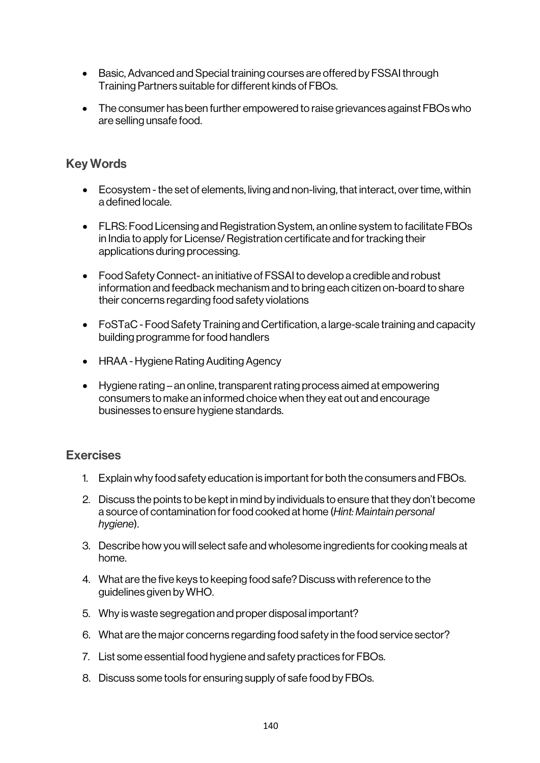- Basic, Advanced and Special training courses are offered by FSSAI through Training Partners suitable for different kinds of FBOs.
- The consumer has been further empowered to raise grievances against FBOs who are selling unsafe food.

## Key Words

- Ecosystem the set of elements, living and non-living, that interact, over time, within a defined locale.
- FLRS: Food Licensing and Registration System, an online system to facilitate FBOs in India to apply for License/ Registration certificate and for tracking their applications during processing.
- Food Safety Connect- an initiative of FSSAI to develop a credible and robust information and feedback mechanism and to bring each citizen on-board to share their concerns regarding food safety violations
- FoSTaC Food Safety Training and Certification, a large-scale training and capacity building programme for food handlers
- HRAA -Hygiene Rating Auditing Agency
- Hygiene rating an online, transparent rating process aimed at empowering consumers to make an informed choice when they eat out and encourage businesses to ensure hygiene standards.

## Exercises

- 1. Explain why food safety education is important for both the consumers and FBOs.
- 2. Discuss the points to be kept in mind by individuals to ensure that they don't become a source of contamination for food cooked at home (*Hint: Maintain personal hygiene*).
- 3. Describe how you will select safe and wholesome ingredients for cooking meals at home.
- 4. What are the five keys to keeping food safe? Discuss with reference to the guidelines given by WHO.
- 5. Why is waste segregation and proper disposal important?
- 6. What are the major concerns regarding food safety in the food service sector?
- 7. List some essential food hygiene and safety practices for FBOs.
- 8. Discuss some tools for ensuring supply of safe food by FBOs.